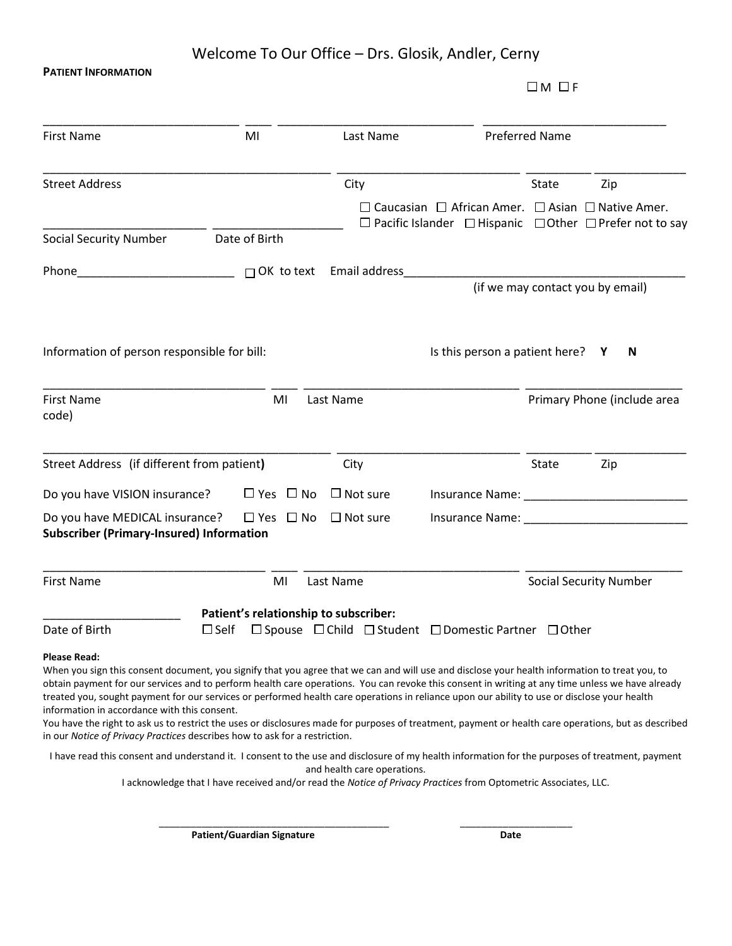Welcome To Our Office – Drs. Glosik, Andler, Cerny

## **PATIENT INFORMATION**

## $\Box$  M  $\Box$  F  $\Box$  M  $\Box$  F  $\Box$  M  $\Box$  F

|                                                                                                                                                                                                                                                                                                                                                                                                                                                                                                                                                                                                                                                                                                                                                                 | MI                                    | Last Name                   |                                                                                                                                                         | <b>Preferred Name</b>            |                               |
|-----------------------------------------------------------------------------------------------------------------------------------------------------------------------------------------------------------------------------------------------------------------------------------------------------------------------------------------------------------------------------------------------------------------------------------------------------------------------------------------------------------------------------------------------------------------------------------------------------------------------------------------------------------------------------------------------------------------------------------------------------------------|---------------------------------------|-----------------------------|---------------------------------------------------------------------------------------------------------------------------------------------------------|----------------------------------|-------------------------------|
|                                                                                                                                                                                                                                                                                                                                                                                                                                                                                                                                                                                                                                                                                                                                                                 |                                       |                             |                                                                                                                                                         |                                  |                               |
| <b>Street Address</b>                                                                                                                                                                                                                                                                                                                                                                                                                                                                                                                                                                                                                                                                                                                                           |                                       | City                        |                                                                                                                                                         | State                            | Zip                           |
|                                                                                                                                                                                                                                                                                                                                                                                                                                                                                                                                                                                                                                                                                                                                                                 |                                       |                             | $\Box$ Caucasian $\Box$ African Amer. $\Box$ Asian $\Box$ Native Amer.<br>$\Box$ Pacific Islander $\Box$ Hispanic $\Box$ Other $\Box$ Prefer not to say |                                  |                               |
| <b>Social Security Number</b>                                                                                                                                                                                                                                                                                                                                                                                                                                                                                                                                                                                                                                                                                                                                   | Date of Birth                         |                             |                                                                                                                                                         |                                  |                               |
| Phone<br>□ OK to text Email address                                                                                                                                                                                                                                                                                                                                                                                                                                                                                                                                                                                                                                                                                                                             |                                       |                             |                                                                                                                                                         | (if we may contact you by email) |                               |
|                                                                                                                                                                                                                                                                                                                                                                                                                                                                                                                                                                                                                                                                                                                                                                 |                                       |                             |                                                                                                                                                         |                                  |                               |
| Information of person responsible for bill:                                                                                                                                                                                                                                                                                                                                                                                                                                                                                                                                                                                                                                                                                                                     |                                       |                             | Is this person a patient here? $Y$                                                                                                                      |                                  | <b>N</b>                      |
| <b>First Name</b><br>code)                                                                                                                                                                                                                                                                                                                                                                                                                                                                                                                                                                                                                                                                                                                                      | MI                                    | Last Name                   |                                                                                                                                                         |                                  | Primary Phone (include area   |
| Street Address (if different from patient)                                                                                                                                                                                                                                                                                                                                                                                                                                                                                                                                                                                                                                                                                                                      |                                       | City                        |                                                                                                                                                         | State                            | Zip                           |
| Do you have VISION insurance?                                                                                                                                                                                                                                                                                                                                                                                                                                                                                                                                                                                                                                                                                                                                   | $\Box$ Yes $\Box$ No                  | $\square$ Not sure          | Insurance Name: Name:                                                                                                                                   |                                  |                               |
| Do you have MEDICAL insurance?<br><b>Subscriber (Primary-Insured) Information</b>                                                                                                                                                                                                                                                                                                                                                                                                                                                                                                                                                                                                                                                                               | $\Box$ Yes $\Box$ No                  | $\Box$ Not sure             | Insurance Name: Name: Name and Allen Manual Allen Manual Allen Manual Allen Manual Allen Manual Allen Manual Al                                         |                                  |                               |
| <b>First Name</b>                                                                                                                                                                                                                                                                                                                                                                                                                                                                                                                                                                                                                                                                                                                                               | MI                                    | Last Name                   |                                                                                                                                                         |                                  | <b>Social Security Number</b> |
|                                                                                                                                                                                                                                                                                                                                                                                                                                                                                                                                                                                                                                                                                                                                                                 | Patient's relationship to subscriber: |                             |                                                                                                                                                         |                                  |                               |
| Date of Birth<br>$\Box$ Self                                                                                                                                                                                                                                                                                                                                                                                                                                                                                                                                                                                                                                                                                                                                    |                                       |                             | □ Spouse □ Child □ Student □ Domestic Partner □ Other                                                                                                   |                                  |                               |
| <b>Please Read:</b><br>When you sign this consent document, you signify that you agree that we can and will use and disclose your health information to treat you, to<br>obtain payment for our services and to perform health care operations. You can revoke this consent in writing at any time unless we have already<br>treated you, sought payment for our services or performed health care operations in reliance upon our ability to use or disclose your health<br>information in accordance with this consent.<br>You have the right to ask us to restrict the uses or disclosures made for purposes of treatment, payment or health care operations, but as described<br>in our Notice of Privacy Practices describes how to ask for a restriction. |                                       |                             |                                                                                                                                                         |                                  |                               |
| I have read this consent and understand it. I consent to the use and disclosure of my health information for the purposes of treatment, payment<br>I acknowledge that I have received and/or read the Notice of Privacy Practices from Optometric Associates, LLC.                                                                                                                                                                                                                                                                                                                                                                                                                                                                                              |                                       | and health care operations. |                                                                                                                                                         |                                  |                               |

**Patient/Guardian Signature Date** 

\_\_\_\_\_\_\_\_\_\_\_\_\_\_\_\_\_\_\_\_\_\_\_\_\_\_\_\_\_\_\_\_\_\_\_\_\_\_\_\_\_\_\_ \_\_\_\_\_\_\_\_\_\_\_\_\_\_\_\_\_\_\_\_\_